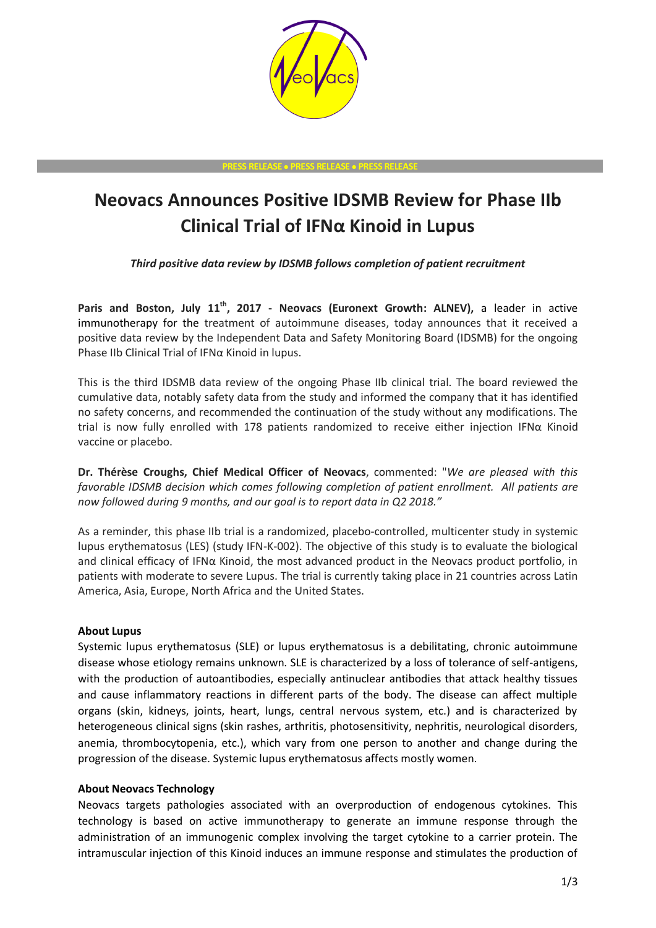

#### **PRESS RELEASE PRESS RELEASE PRESS RELEASE**

# **Neovacs Announces Positive IDSMB Review for Phase IIb Clinical Trial of IFNα Kinoid in Lupus**

*Third positive data review by IDSMB follows completion of patient recruitment*

**Paris and Boston, July 11th , 2017 - Neovacs (Euronext Growth: ALNEV),** a leader in active immunotherapy for the treatment of autoimmune diseases, today announces that it received a positive data review by the Independent Data and Safety Monitoring Board (IDSMB) for the ongoing Phase IIb Clinical Trial of IFNα Kinoid in lupus.

This is the third IDSMB data review of the ongoing Phase IIb clinical trial. The board reviewed the cumulative data, notably safety data from the study and informed the company that it has identified no safety concerns, and recommended the continuation of the study without any modifications. The trial is now fully enrolled with 178 patients randomized to receive either injection IFNα Kinoid vaccine or placebo.

**Dr. Thérèse Croughs, Chief Medical Officer of Neovacs**, commented: "*We are pleased with this favorable IDSMB decision which comes following completion of patient enrollment. All patients are now followed during 9 months, and our goal is to report data in Q2 2018."*

As a reminder, this phase IIb trial is a randomized, placebo-controlled, multicenter study in systemic lupus erythematosus (LES) (study IFN-K-002). The objective of this study is to evaluate the biological and clinical efficacy of IFNα Kinoid, the most advanced product in the Neovacs product portfolio, in patients with moderate to severe Lupus. The trial is currently taking place in 21 countries across Latin America, Asia, Europe, North Africa and the United States.

# **About Lupus**

Systemic lupus erythematosus (SLE) or lupus erythematosus is a debilitating, chronic autoimmune disease whose etiology remains unknown. SLE is characterized by a loss of tolerance of self-antigens, with the production of autoantibodies, especially antinuclear antibodies that attack healthy tissues and cause inflammatory reactions in different parts of the body. The disease can affect multiple organs (skin, kidneys, joints, heart, lungs, central nervous system, etc.) and is characterized by heterogeneous clinical signs (skin rashes, arthritis, photosensitivity, nephritis, neurological disorders, anemia, thrombocytopenia, etc.), which vary from one person to another and change during the progression of the disease. Systemic lupus erythematosus affects mostly women.

# **About Neovacs Technology**

Neovacs targets pathologies associated with an overproduction of endogenous cytokines. This technology is based on active immunotherapy to generate an immune response through the administration of an immunogenic complex involving the target cytokine to a carrier protein. The intramuscular injection of this Kinoid induces an immune response and stimulates the production of